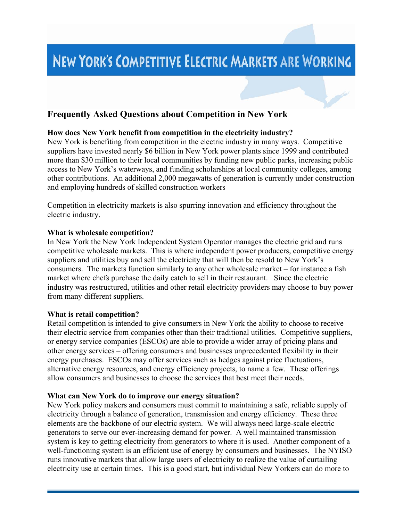# **NEW YORK'S COMPETITIVE ELECTRIC MARKETS ARE WORKING**

# **Frequently Asked Questions about Competition in New York**

#### **How does New York benefit from competition in the electricity industry?**

New York is benefiting from competition in the electric industry in many ways. Competitive suppliers have invested nearly \$6 billion in New York power plants since 1999 and contributed more than \$30 million to their local communities by funding new public parks, increasing public access to New York's waterways, and funding scholarships at local community colleges, among other contributions. An additional 2,000 megawatts of generation is currently under construction and employing hundreds of skilled construction workers

Competition in electricity markets is also spurring innovation and efficiency throughout the electric industry.

#### **What is wholesale competition?**

In New York the New York Independent System Operator manages the electric grid and runs competitive wholesale markets. This is where independent power producers, competitive energy suppliers and utilities buy and sell the electricity that will then be resold to New York's consumers. The markets function similarly to any other wholesale market – for instance a fish market where chefs purchase the daily catch to sell in their restaurant. Since the electric industry was restructured, utilities and other retail electricity providers may choose to buy power from many different suppliers.

#### **What is retail competition?**

Retail competition is intended to give consumers in New York the ability to choose to receive their electric service from companies other than their traditional utilities. Competitive suppliers, or energy service companies (ESCOs) are able to provide a wider array of pricing plans and other energy services – offering consumers and businesses unprecedented flexibility in their energy purchases. ESCOs may offer services such as hedges against price fluctuations, alternative energy resources, and energy efficiency projects, to name a few. These offerings allow consumers and businesses to choose the services that best meet their needs.

#### **What can New York do to improve our energy situation?**

New York policy makers and consumers must commit to maintaining a safe, reliable supply of electricity through a balance of generation, transmission and energy efficiency. These three elements are the backbone of our electric system. We will always need large-scale electric generators to serve our ever-increasing demand for power. A well maintained transmission system is key to getting electricity from generators to where it is used. Another component of a well-functioning system is an efficient use of energy by consumers and businesses. The NYISO runs innovative markets that allow large users of electricity to realize the value of curtailing electricity use at certain times. This is a good start, but individual New Yorkers can do more to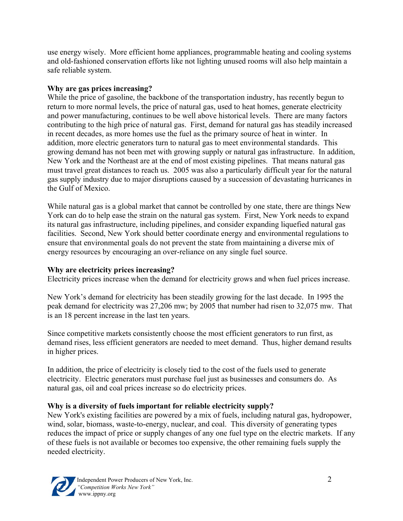use energy wisely. More efficient home appliances, programmable heating and cooling systems and old-fashioned conservation efforts like not lighting unused rooms will also help maintain a safe reliable system.

## **Why are gas prices increasing?**

While the price of gasoline, the backbone of the transportation industry, has recently begun to return to more normal levels, the price of natural gas, used to heat homes, generate electricity and power manufacturing, continues to be well above historical levels. There are many factors contributing to the high price of natural gas. First, demand for natural gas has steadily increased in recent decades, as more homes use the fuel as the primary source of heat in winter. In addition, more electric generators turn to natural gas to meet environmental standards. This growing demand has not been met with growing supply or natural gas infrastructure. In addition, New York and the Northeast are at the end of most existing pipelines. That means natural gas must travel great distances to reach us. 2005 was also a particularly difficult year for the natural gas supply industry due to major disruptions caused by a succession of devastating hurricanes in the Gulf of Mexico.

While natural gas is a global market that cannot be controlled by one state, there are things New York can do to help ease the strain on the natural gas system. First, New York needs to expand its natural gas infrastructure, including pipelines, and consider expanding liquefied natural gas facilities. Second, New York should better coordinate energy and environmental regulations to ensure that environmental goals do not prevent the state from maintaining a diverse mix of energy resources by encouraging an over-reliance on any single fuel source.

## **Why are electricity prices increasing?**

Electricity prices increase when the demand for electricity grows and when fuel prices increase.

New York's demand for electricity has been steadily growing for the last decade. In 1995 the peak demand for electricity was 27,206 mw; by 2005 that number had risen to 32,075 mw. That is an 18 percent increase in the last ten years.

Since competitive markets consistently choose the most efficient generators to run first, as demand rises, less efficient generators are needed to meet demand. Thus, higher demand results in higher prices.

In addition, the price of electricity is closely tied to the cost of the fuels used to generate electricity. Electric generators must purchase fuel just as businesses and consumers do. As natural gas, oil and coal prices increase so do electricity prices.

## **Why is a diversity of fuels important for reliable electricity supply?**

New York's existing facilities are powered by a mix of fuels, including natural gas, hydropower, wind, solar, biomass, waste-to-energy, nuclear, and coal. This diversity of generating types reduces the impact of price or supply changes of any one fuel type on the electric markets. If any of these fuels is not available or becomes too expensive, the other remaining fuels supply the needed electricity.